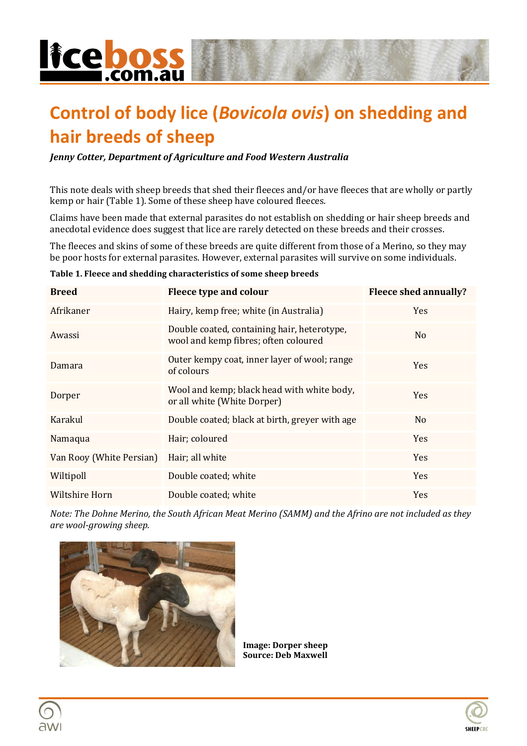

## **Control of body lice (***Bovicola ovis***) on shedding and hair breeds of sheep**

*Jenny Cotter, Department of Agriculture and Food Western Australia*

This note deals with sheep breeds that shed their fleeces and/or have fleeces that are wholly or partly kemp or hair (Table 1). Some of these sheep have coloured fleeces.

Claims have been made that external parasites do not establish on shedding or hair sheep breeds and anecdotal evidence does suggest that lice are rarely detected on these breeds and their crosses.

The fleeces and skins of some of these breeds are quite different from those of a Merino, so they may be poor hosts for external parasites. However, external parasites will survive on some individuals.

| <b>Breed</b>             | Fleece type and colour                                                              | <b>Fleece shed annually?</b> |
|--------------------------|-------------------------------------------------------------------------------------|------------------------------|
| Afrikaner                | Hairy, kemp free; white (in Australia)                                              | <b>Yes</b>                   |
| Awassi                   | Double coated, containing hair, heterotype,<br>wool and kemp fibres; often coloured | N <sub>0</sub>               |
| Damara                   | Outer kempy coat, inner layer of wool; range<br>of colours                          | <b>Yes</b>                   |
| Dorper                   | Wool and kemp; black head with white body,<br>or all white (White Dorper)           | <b>Yes</b>                   |
| Karakul                  | Double coated; black at birth, greyer with age                                      | N <sub>0</sub>               |
| Namaqua                  | Hair; coloured                                                                      | <b>Yes</b>                   |
| Van Rooy (White Persian) | Hair; all white                                                                     | <b>Yes</b>                   |
| Wiltipoll                | Double coated; white                                                                | <b>Yes</b>                   |
| Wiltshire Horn           | Double coated; white                                                                | <b>Yes</b>                   |

#### **Table 1. Fleece and shedding characteristics of some sheep breeds**

*Note: The Dohne Merino, the South African Meat Merino (SAMM) and the Afrino are not included as they are wool-growing sheep.*



**Image: Dorper sheep Source: Deb Maxwell**

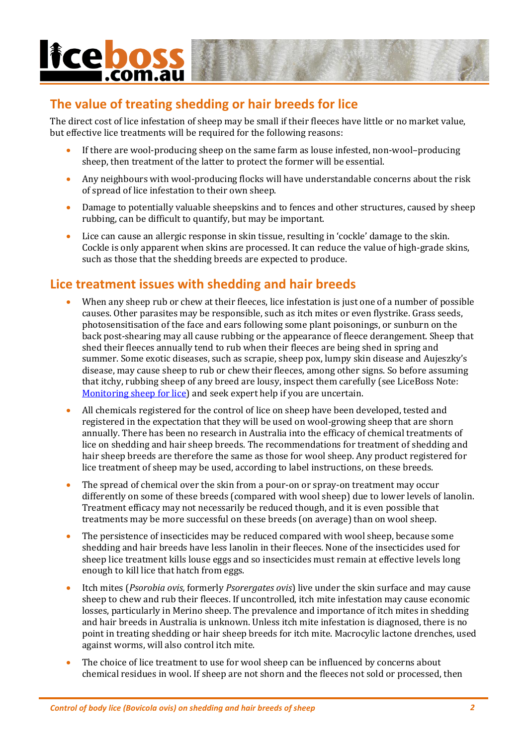# **licebo** .com.au

## **The value of treating shedding or hair breeds for lice**

The direct cost of lice infestation of sheep may be small if their fleeces have little or no market value, but effective lice treatments will be required for the following reasons:

- If there are wool-producing sheep on the same farm as louse infested, non-wool–producing sheep, then treatment of the latter to protect the former will be essential.
- Any neighbours with wool-producing flocks will have understandable concerns about the risk of spread of lice infestation to their own sheep.
- Damage to potentially valuable sheepskins and to fences and other structures, caused by sheep rubbing, can be difficult to quantify, but may be important.
- Lice can cause an allergic response in skin tissue, resulting in 'cockle' damage to the skin. Cockle is only apparent when skins are processed. It can reduce the value of high-grade skins, such as those that the shedding breeds are expected to produce.

### **Lice treatment issues with shedding and hair breeds**

- When any sheep rub or chew at their fleeces, lice infestation is just one of a number of possible causes. Other parasites may be responsible, such as itch mites or even flystrike. Grass seeds, photosensitisation of the face and ears following some plant poisonings, or sunburn on the back post-shearing may all cause rubbing or the appearance of fleece derangement. Sheep that shed their fleeces annually tend to rub when their fleeces are being shed in spring and summer. Some exotic diseases, such as scrapie, sheep pox, lumpy skin disease and Aujeszky's disease, may cause sheep to rub or chew their fleeces, among other signs. So before assuming that itchy, rubbing sheep of any breed are lousy, inspect them carefully (see LiceBoss Note: [Monitoring sheep for lice\)](http://www.liceboss.com.au/files/pages/notes/Monitoring_sheep_for_lice.pdf) and seek expert help if you are uncertain.
- All chemicals registered for the control of lice on sheep have been developed, tested and registered in the expectation that they will be used on wool-growing sheep that are shorn annually. There has been no research in Australia into the efficacy of chemical treatments of lice on shedding and hair sheep breeds. The recommendations for treatment of shedding and hair sheep breeds are therefore the same as those for wool sheep. Any product registered for lice treatment of sheep may be used, according to label instructions, on these breeds.
- The spread of chemical over the skin from a pour-on or spray-on treatment may occur differently on some of these breeds (compared with wool sheep) due to lower levels of lanolin. Treatment efficacy may not necessarily be reduced though, and it is even possible that treatments may be more successful on these breeds (on average) than on wool sheep.
- The persistence of insecticides may be reduced compared with wool sheep, because some shedding and hair breeds have less lanolin in their fleeces. None of the insecticides used for sheep lice treatment kills louse eggs and so insecticides must remain at effective levels long enough to kill lice that hatch from eggs.
- Itch mites (*Psorobia ovis,* formerly *Psorergates ovis*) live under the skin surface and may cause sheep to chew and rub their fleeces. If uncontrolled, itch mite infestation may cause economic losses, particularly in Merino sheep. The prevalence and importance of itch mites in shedding and hair breeds in Australia is unknown. Unless itch mite infestation is diagnosed, there is no point in treating shedding or hair sheep breeds for itch mite. Macrocylic lactone drenches, used against worms, will also control itch mite.
- The choice of lice treatment to use for wool sheep can be influenced by concerns about chemical residues in wool. If sheep are not shorn and the fleeces not sold or processed, then